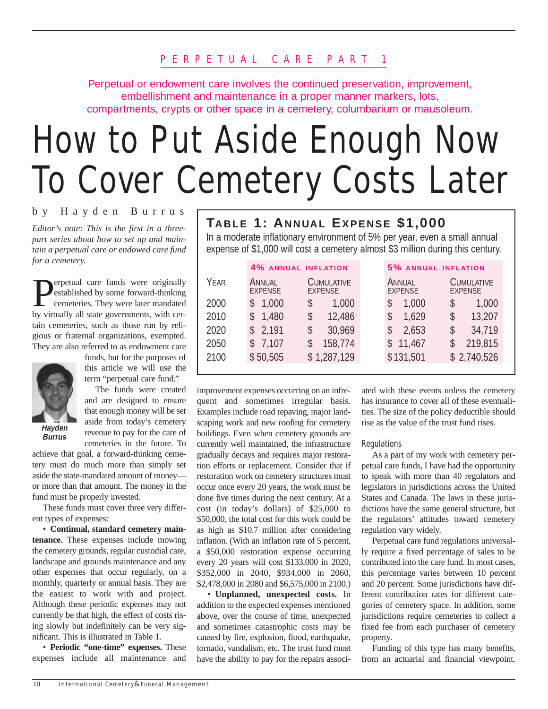Perpetual or endowment care involves the continued preservation, improvement, embellishment and maintenance in a proper manner markers, lots, compartments, crypts or other space in a cemetery, columbarium or mausoleum.

# How to Put Aside Enough Now To Cover Cemetery Costs Later

#### by Hayden Burrus

*Editor's note: This is the first in a threepart series about how to set up and maintain a perpetual care or endowed care fund for a cemetery.*

erpetual care funds were originally established by some forward-thinking cemeteries. They were later mandated by virtually all state governments, with certain cemeteries, such as those run by religious or fraternal organizations, exempted. They are also referred to as endowment care



**Burrus**

funds, but for the purposes of this article we will use the term "perpetual care fund."

The funds were created and are designed to ensure that enough money will be set aside from today's cemetery revenue to pay for the care of cemeteries in the future. To

achieve that goal, a forward-thinking cemetery must do much more than simply set aside the state-mandated amount of money or more than that amount. The money in the fund must be properly invested.

These funds must cover three very different types of expenses:

• **Continual, standard cemetery maintenance.** These expenses include mowing the cemetery grounds, regular custodial care, landscape and grounds maintenance and any other expenses that occur regularly, on a monthly, quarterly or annual basis. They are the easiest to work with and project. Although these periodic expenses may not currently be that high, the effect of costs rising slowly but indefinitely can be very significant. This is illustrated in Table 1.

• **Periodic "one-time" expenses.** These expenses include all maintenance and

### **TABLE 1: ANNUAL EXPENSE \$1,000**

In a moderate inflationary environment of 5% per year, even a small annual expense of \$1,000 will cost a cemetery almost \$3 million during this century.

|      | <b>4% ANNUAL INFLATION</b> |                                     | 5% ANNUAL INFLATION                                             |
|------|----------------------------|-------------------------------------|-----------------------------------------------------------------|
| YEAR | ANNUAL<br><b>EXPENSE</b>   | <b>CUMULATIVE</b><br><b>EXPENSE</b> | <b>CUMULATIVE</b><br>ANNUAL<br><b>EXPENSE</b><br><b>EXPENSE</b> |
| 2000 | 1,000<br>S                 | \$<br>1,000                         | 1,000<br>S<br>1,000<br>\$                                       |
| 2010 | 1,480                      | \$<br>12,486                        | 13,207<br>1,629<br>\$<br>\$                                     |
| 2020 | 2,191<br>S.                | 30,969<br>\$                        | 2,653<br>34,719<br>\$<br>S                                      |
| 2050 | 7,107<br>S.                | 158,774                             | 219,815<br>11,467                                               |
| 2100 | \$50,505                   | \$1,287,129                         | \$131,501<br>\$2,740,526                                        |
|      |                            |                                     |                                                                 |

improvement expenses occurring on an infrequent and sometimes irregular basis. Examples include road repaving, major landscaping work and new roofing for cemetery buildings. Even when cemetery grounds are currently well maintained, the infrastructure gradually decays and requires major restoration efforts or replacement. Consider that if restoration work on cemetery structures must occur once every 20 years, the work must be done five times during the next century. At a cost (in today's dollars) of \$25,000 to \$50,000, the total cost for this work could be as high as \$10.7 million after considering inflation. (With an inflation rate of 5 percent, a \$50,000 restoration expense occurring every 20 years will cost \$133,000 in 2020, \$352,000 in 2040, \$934,000 in 2060, \$2,478,000 in 2080 and \$6,575,000 in 2100.)

• **Unplanned, unexpected costs.** In addition to the expected expenses mentioned above, over the course of time, unexpected and sometimes catastrophic costs may be caused by fire, explosion, flood, earthquake, tornado, vandalism, etc. The trust fund must have the ability to pay for the repairs associated with these events unless the cemetery has insurance to cover all of these eventualities. The size of the policy deductible should rise as the value of the trust fund rises.

#### **Regulations**

As a part of my work with cemetery perpetual care funds, I have had the opportunity to speak with more than 40 regulators and legislators in jurisdictions across the United States and Canada. The laws in these jurisdictions have the same general structure, but the regulators' attitudes toward cemetery regulation vary widely.

Perpetual care fund regulations universally require a fixed percentage of sales to be contributed into the care fund. In most cases, this percentage varies between 10 percent and 20 percent. Some jurisdictions have different contribution rates for different categories of cemetery space. In addition, some jurisdictions require cemeteries to collect a fixed fee from each purchaser of cemetery property.

Funding of this type has many benefits, from an actuarial and financial viewpoint.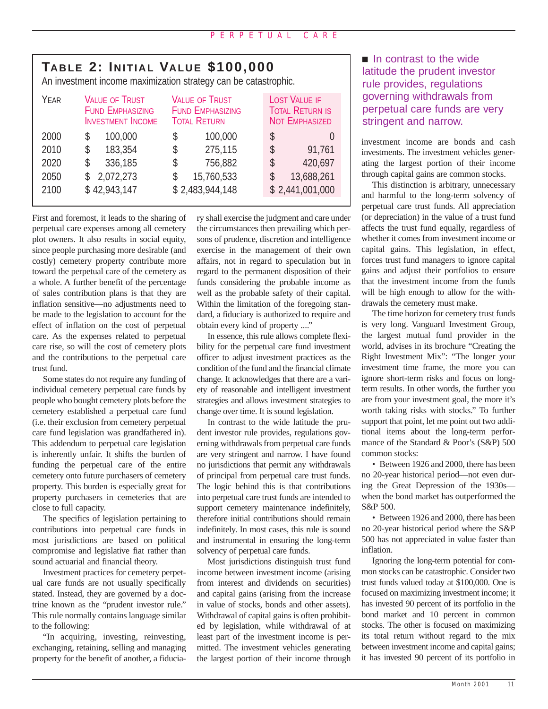## **TABLE 2: INITIAL VALUE \$100,000**

An investment income maximization strategy can be catastrophic.

| YEAR | <b>VALUE OF TRUST</b>    | <b>VALUE OF TRUST</b>   | <b>LOST VALUE IF</b>   |
|------|--------------------------|-------------------------|------------------------|
|      | <b>FUND EMPHASIZING</b>  | <b>FUND EMPHASIZING</b> | <b>TOTAL RETURN IS</b> |
|      | <b>INVESTMENT INCOME</b> | <b>TOTAL RETURN</b>     | <b>NOT EMPHASIZED</b>  |
| 2000 | 100,000                  | 100,000                 | \$                     |
|      | \$                       | \$                      | U                      |
| 2010 | 183,354                  | 275,115                 | \$                     |
|      | S                        | \$                      | 91,761                 |
| 2020 | 336,185                  | \$                      | 420,697                |
|      | \$                       | 756,882                 | \$                     |
| 2050 | 2,072,273                | 15,760,533              | 13,688,261             |
|      | S                        | \$                      | \$                     |
| 2100 | \$42,943,147             | \$2,483,944,148         | \$2,441,001,000        |

First and foremost, it leads to the sharing of perpetual care expenses among all cemetery plot owners. It also results in social equity, since people purchasing more desirable (and costly) cemetery property contribute more toward the perpetual care of the cemetery as a whole. A further benefit of the percentage of sales contribution plans is that they are inflation sensitive—no adjustments need to be made to the legislation to account for the effect of inflation on the cost of perpetual care. As the expenses related to perpetual care rise, so will the cost of cemetery plots and the contributions to the perpetual care trust fund.

Some states do not require any funding of individual cemetery perpetual care funds by people who bought cemetery plots before the cemetery established a perpetual care fund (i.e. their exclusion from cemetery perpetual care fund legislation was grandfathered in). This addendum to perpetual care legislation is inherently unfair. It shifts the burden of funding the perpetual care of the entire cemetery onto future purchasers of cemetery property. This burden is especially great for property purchasers in cemeteries that are close to full capacity.

The specifics of legislation pertaining to contributions into perpetual care funds in most jurisdictions are based on political compromise and legislative fiat rather than sound actuarial and financial theory.

Investment practices for cemetery perpetual care funds are not usually specifically stated. Instead, they are governed by a doctrine known as the "prudent investor rule." This rule normally contains language similar to the following:

"In acquiring, investing, reinvesting, exchanging, retaining, selling and managing property for the benefit of another, a fiduciary shall exercise the judgment and care under the circumstances then prevailing which persons of prudence, discretion and intelligence exercise in the management of their own affairs, not in regard to speculation but in regard to the permanent disposition of their funds considering the probable income as well as the probable safety of their capital. Within the limitation of the foregoing standard, a fiduciary is authorized to require and obtain every kind of property ...."

In essence, this rule allows complete flexibility for the perpetual care fund investment officer to adjust investment practices as the condition of the fund and the financial climate change. It acknowledges that there are a variety of reasonable and intelligent investment strategies and allows investment strategies to change over time. It is sound legislation.

In contrast to the wide latitude the prudent investor rule provides, regulations governing withdrawals from perpetual care funds are very stringent and narrow. I have found no jurisdictions that permit any withdrawals of principal from perpetual care trust funds. The logic behind this is that contributions into perpetual care trust funds are intended to support cemetery maintenance indefinitely, therefore initial contributions should remain indefinitely. In most cases, this rule is sound and instrumental in ensuring the long-term solvency of perpetual care funds.

Most jurisdictions distinguish trust fund income between investment income (arising from interest and dividends on securities) and capital gains (arising from the increase in value of stocks, bonds and other assets). Withdrawal of capital gains is often prohibited by legislation, while withdrawal of at least part of the investment income is permitted. The investment vehicles generating the largest portion of their income through  $\blacksquare$  In contrast to the wide latitude the prudent investor rule provides, regulations governing withdrawals from perpetual care funds are very stringent and narrow.

investment income are bonds and cash investments. The investment vehicles generating the largest portion of their income through capital gains are common stocks.

This distinction is arbitrary, unnecessary and harmful to the long-term solvency of perpetual care trust funds. All appreciation (or depreciation) in the value of a trust fund affects the trust fund equally, regardless of whether it comes from investment income or capital gains. This legislation, in effect, forces trust fund managers to ignore capital gains and adjust their portfolios to ensure that the investment income from the funds will be high enough to allow for the withdrawals the cemetery must make.

The time horizon for cemetery trust funds is very long. Vanguard Investment Group, the largest mutual fund provider in the world, advises in its brochure "Creating the Right Investment Mix": "The longer your investment time frame, the more you can ignore short-term risks and focus on longterm results. In other words, the further you are from your investment goal, the more it's worth taking risks with stocks." To further support that point, let me point out two additional items about the long-term performance of the Standard & Poor's (S&P) 500 common stocks:

• Between 1926 and 2000, there has been no 20-year historical period—not even during the Great Depression of the 1930s when the bond market has outperformed the S&P 500.

• Between 1926 and 2000, there has been no 20-year historical period where the S&P 500 has not appreciated in value faster than inflation.

Ignoring the long-term potential for common stocks can be catastrophic. Consider two trust funds valued today at \$100,000. One is focused on maximizing investment income; it has invested 90 percent of its portfolio in the bond market and 10 percent in common stocks. The other is focused on maximizing its total return without regard to the mix between investment income and capital gains; it has invested 90 percent of its portfolio in